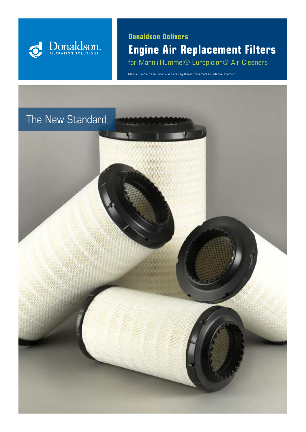

**Donaldson Delivers Engine Air Replacement Filters** for Mann+Hummel® Europiclon® Air Cleaners

Mann+Hummel® and Europiclon® are registered trademarks of Mann+Hummel®

## The New Standard

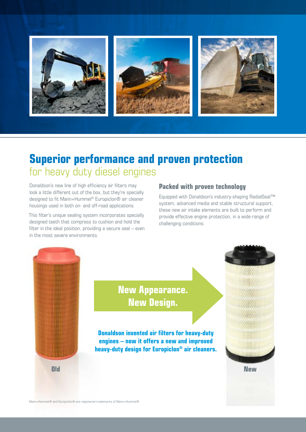

# **Superior performance and proven protection**  for heavy duty diesel engines

Donaldson's new line of high efficiency air filters may look a little different out of the box, but they're specially designed to fit Mann+Hummel® Europiclon® air cleaner housings used in both on- and off-road applications.

This filter's unique sealing system incorporates specially designed teeth that compress to cushion and hold the filter in the ideal position, providing a secure seal – even in the most severe environments.

### **Packed with proven technology**

Equipped with Donaldson's industry-shaping RadialSeal™ system, advanced media and stable structural support, these new air intake elements are built to perform and provide effective engine protection, in a wide-range of challenging conditions.



**New Appearance. New Design.** 

**Donaldson invented air filters for heavy-duty engines – now it offers a new and improved heavy-duty design for Europiclon® air cleaners.**

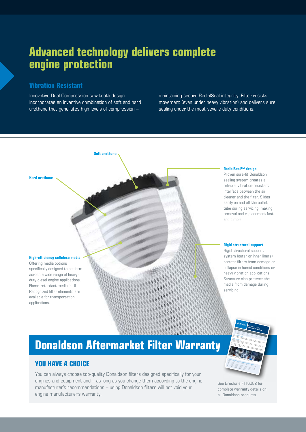# **Advanced technology delivers complete engine protection**

### **Vibration Resistant**

Innovative Dual Compression saw-tooth design incorporates an inventive combination of soft and hard urethane that generates high levels of compression –

**Soft urethane**

maintaining secure RadialSeal integrity. Filter resists movement (even under heavy vibration) and delivers sure sealing under the most severe duty conditions.

#### **RadialSeal™ design** Proven sure-fit Donaldson sealing system creates a reliable, vibration-resistant interface between the air cleaner and the filter. Slides easily on and off the outlet tube during servicing, making

#### **High-efficiency cellulose media**

**Hard urethane**

Offering media options specifically designed to perform across a wide range of heavyduty diesel engine applications. Flame-retardant media in UL Recognized filter elements are available for transportation applications.

#### **Rigid structural support**

and simple.

removal and replacement fast

Rigid structural support system (outer or inner liners) protect filters from damage or collapse in humid conditions or heavy vibration applications. Structure also protects the media from damage during servicing.

# **Donaldson Aftermarket Filter Warranty**

#### **YOU HAVE A CHOICE**

You can always choose top-quality Donaldson filters designed specifically for your engines and equipment and – as long as you change them according to the engine manufacturer's recommendations – using Donaldson filters will not void your engine manufacturer's warranty.

You need effective filtration – and you want it all from one supplier. When it's time for filter replacement, Donaldson provides the right combined to help and value to help and val<br>When it stime for filter replacement, Donaldson provides the right combination of quality and value to help a<br>C With Donaldson protection, your engines and equipment and equipment and equipment and equipment and equipment<br>With Donaldson protection, you engine and equipment will operate longer between filter replacements, and exper<br>W saving on costly downtime and repairs. And adding a Donaldson filtration and repairs. And adding the state of<br>The costly downtime and repairs. And adding a Donaldson filtration system to your bulk fuel and luberated and<br>Si storage will go even further toward protecting your extended your extendence of the state of the state of the<br>The storage will go even further toward protection your equipment and maximizing up to state of the state of t<br>T **Depend on Donaldson when their counts!**<br>Depend on Donaldson when every operating hour counts!<br>A love of the counts! European Block Exemption The EC Block Exemption Regulation Regulation (Berlin 1999)<br>The EC Block Exemption Regulation Regulation (BER) gives motorists in the flexibility to select where the flexibility to select<br>The EC Block Executive to select wh get their on-road vehicles services. The BER also covers service and maintenance and maintenance and maintenan<br>The BER also covers service and maintenance during the warranty performance during the warranty period.<br>The BER Donaldson Confidence We take the common sense approach. In the unit was approach. In the common sense approach. In the unit of the<br>West in the common sense approach. In the uncertainty of the unit of the sense approach. In the material of th<br>T or work work warranty and the protection of a Donaldson filter, you have the protection of a Donaldson filter,<br>The protection of a Donaldson filter, you have the protection of your Donaldson warranty. We have the protect<br>T engine is returned to its previous condition.  $\overline{\phantom{a}}$  $\blacksquare$ to protect your engines and equipment. More information on the European Block Exemption can be found via ec.europa.eu > European Block Exemption Donaldson Product Warranty is available via www.emea.donaldson.com/en/engine/support/datalibrary/063051.pdf You can always choose top-quality Donaldson filters designed specifically for your engines and equipment, and as long as you change the filters according to the engine manufacturer's recommendations Donaldson filters **will not void your engine manufacturers warranty.**<br>Will be a strong manufacturer of the strong warranty. YOU HAVE A CHOICE! **Aftermarket Warranty**

**DONALDSON Donaldson Engine** 

See Brochure F116082 for complete warranty details on all Donaldson products.